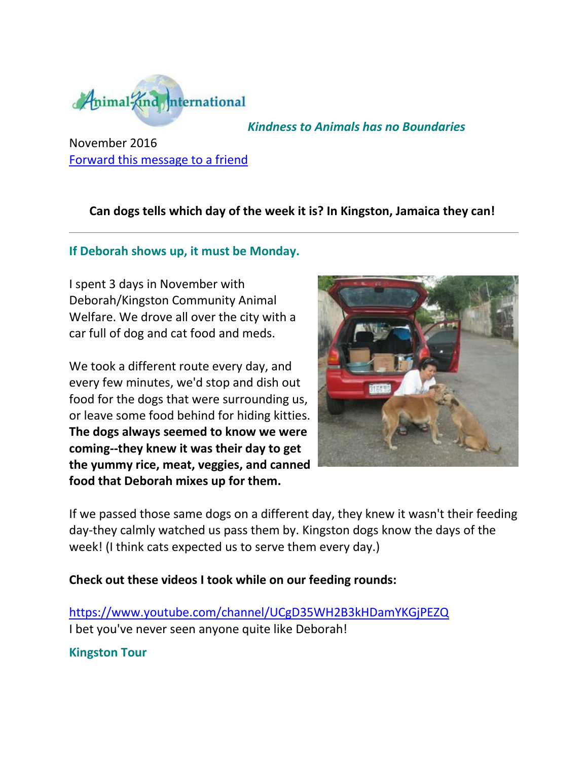

*Kindness to Animals has no Boundaries*

November 2016 [Forward this message to a friend](http://oi.vresp.com/f2af/v4/send_to_friend.html?ch=cad9548436&lid=284351439&ldh=f33df9aebc)

### **Can dogs tells which day of the week it is? In Kingston, Jamaica they can!**

#### **If Deborah shows up, it must be Monday.**

I spent 3 days in November with Deborah/Kingston Community Animal Welfare. We drove all over the city with a car full of dog and cat food and meds.

We took a different route every day, and every few minutes, we'd stop and dish out food for the dogs that were surrounding us, or leave some food behind for hiding kitties. **The dogs always seemed to know we were coming--they knew it was their day to get the yummy rice, meat, veggies, and canned food that Deborah mixes up for them.** 



If we passed those same dogs on a different day, they knew it wasn't their feeding day-they calmly watched us pass them by. Kingston dogs know the days of the week! (I think cats expected us to serve them every day.)

**Check out these videos I took while on our feeding rounds:** 

[https://www.youtube.com/channel/UCgD35WH2B3kHDamYKGjPEZQ](http://cts.vresp.com/c/?AnimalKindInternatio/cad9548436/f33df9aebc/c04eff3a61) I bet you've never seen anyone quite like Deborah!

#### **Kingston Tour**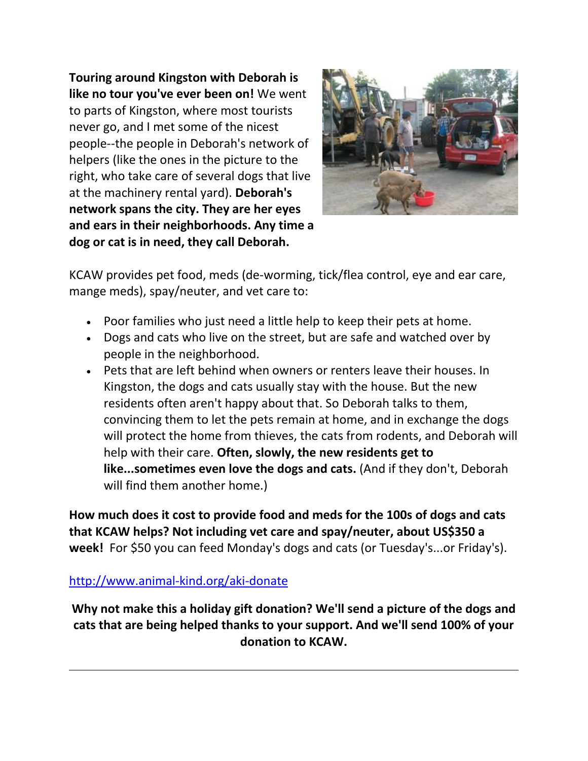**Touring around Kingston with Deborah is like no tour you've ever been on!** We went to parts of Kingston, where most tourists never go, and I met some of the nicest people--the people in Deborah's network of helpers (like the ones in the picture to the right, who take care of several dogs that live at the machinery rental yard). **Deborah's network spans the city. They are her eyes and ears in their neighborhoods. Any time a dog or cat is in need, they call Deborah.**



KCAW provides pet food, meds (de-worming, tick/flea control, eye and ear care, mange meds), spay/neuter, and vet care to:

- Poor families who just need a little help to keep their pets at home.
- Dogs and cats who live on the street, but are safe and watched over by people in the neighborhood.
- Pets that are left behind when owners or renters leave their houses. In Kingston, the dogs and cats usually stay with the house. But the new residents often aren't happy about that. So Deborah talks to them, convincing them to let the pets remain at home, and in exchange the dogs will protect the home from thieves, the cats from rodents, and Deborah will help with their care. **Often, slowly, the new residents get to like...sometimes even love the dogs and cats.** (And if they don't, Deborah will find them another home.)

**How much does it cost to provide food and meds for the 100s of dogs and cats that KCAW helps? Not including vet care and spay/neuter, about US\$350 a week!** For \$50 you can feed Monday's dogs and cats (or Tuesday's...or Friday's).

# [http://www.animal-kind.org/aki-donate](http://cts.vresp.com/c/?AnimalKindInternatio/cad9548436/f33df9aebc/795692c02a)

**Why not make this a holiday gift donation? We'll send a picture of the dogs and cats that are being helped thanks to your support. And we'll send 100% of your donation to KCAW.**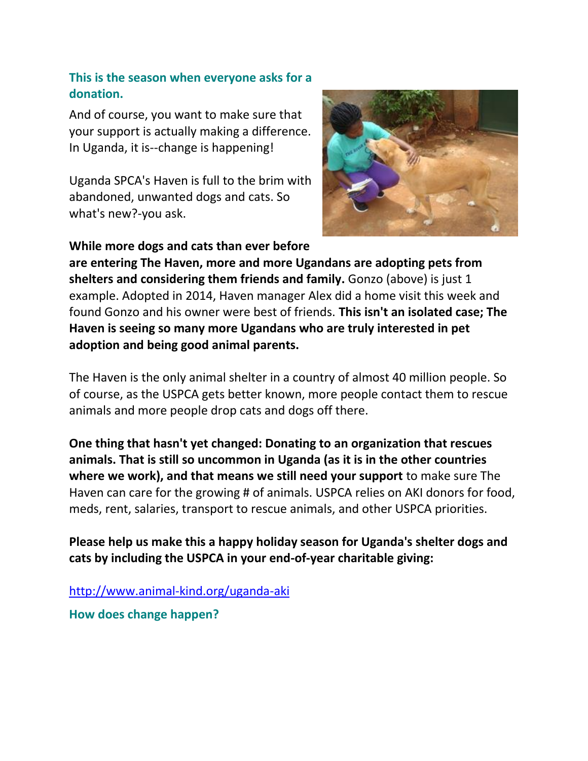## **This is the season when everyone asks for a donation.**

And of course, you want to make sure that your support is actually making a difference. In Uganda, it is--change is happening!

Uganda SPCA's Haven is full to the brim with abandoned, unwanted dogs and cats. So what's new?-you ask.



**While more dogs and cats than ever before are entering The Haven, more and more Ugandans are adopting pets from shelters and considering them friends and family.** Gonzo (above) is just 1 example. Adopted in 2014, Haven manager Alex did a home visit this week and found Gonzo and his owner were best of friends. **This isn't an isolated case; The Haven is seeing so many more Ugandans who are truly interested in pet adoption and being good animal parents.** 

The Haven is the only animal shelter in a country of almost 40 million people. So of course, as the USPCA gets better known, more people contact them to rescue animals and more people drop cats and dogs off there.

**One thing that hasn't yet changed: Donating to an organization that rescues animals. That is still so uncommon in Uganda (as it is in the other countries where we work), and that means we still need your support** to make sure The Haven can care for the growing # of animals. USPCA relies on AKI donors for food, meds, rent, salaries, transport to rescue animals, and other USPCA priorities.

**Please help us make this a happy holiday season for Uganda's shelter dogs and cats by including the USPCA in your end-of-year charitable giving:**

[http://www.animal-kind.org/uganda-aki](http://cts.vresp.com/c/?AnimalKindInternatio/cad9548436/f33df9aebc/9bd601b32d)

**How does change happen?**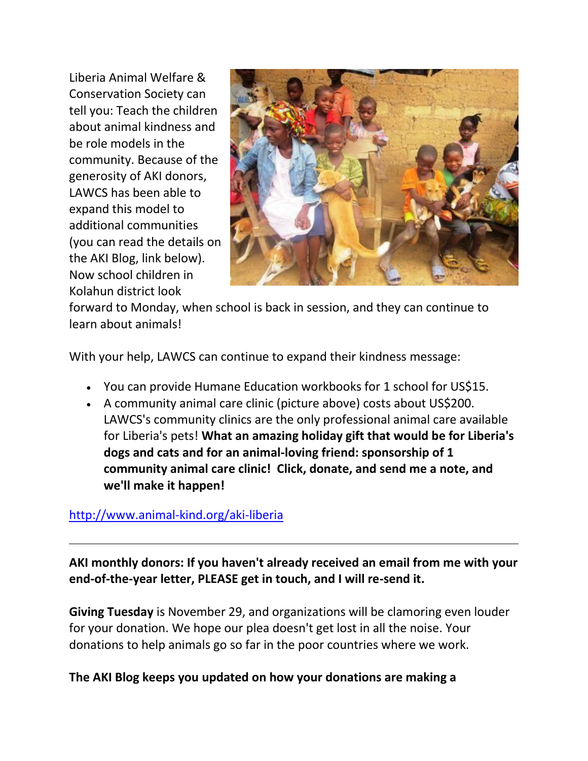Liberia Animal Welfare & Conservation Society can tell you: Teach the children about animal kindness and be role models in the community. Because of the generosity of AKI donors, LAWCS has been able to expand this model to additional communities (you can read the details on the AKI Blog, link below). Now school children in Kolahun district look



forward to Monday, when school is back in session, and they can continue to learn about animals!

With your help, LAWCS can continue to expand their kindness message:

- You can provide Humane Education workbooks for 1 school for US\$15.
- A community animal care clinic (picture above) costs about US\$200. LAWCS's community clinics are the only professional animal care available for Liberia's pets! **What an amazing holiday gift that would be for Liberia's dogs and cats and for an animal-loving friend: sponsorship of 1 community animal care clinic! Click, donate, and send me a note, and we'll make it happen!**

# [http://www.animal-kind.org/aki-liberia](http://cts.vresp.com/c/?AnimalKindInternatio/cad9548436/f33df9aebc/5a28908094)

**AKI monthly donors: If you haven't already received an email from me with your end-of-the-year letter, PLEASE get in touch, and I will re-send it.** 

**Giving Tuesday** is November 29, and organizations will be clamoring even louder for your donation. We hope our plea doesn't get lost in all the noise. Your donations to help animals go so far in the poor countries where we work.

### **The AKI Blog keeps you updated on how your donations are making a**